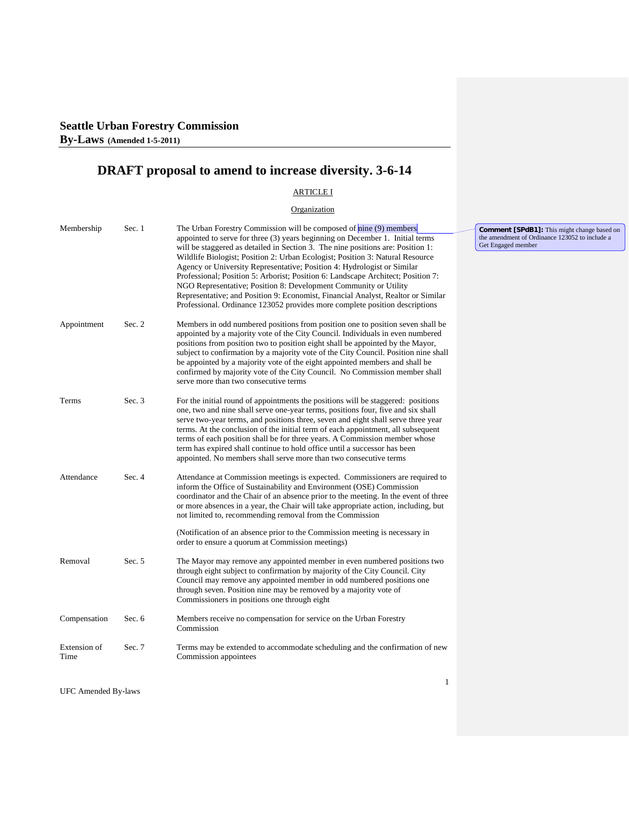# **DRAFT proposal to amend to increase diversity. 3-6-14**

## ARTICLE I

#### **Organization**

| Membership           | Sec. 1   | The Urban Forestry Commission will be composed of nine (9) members                                                                                                                                                                                                                                                                                                                                                                                                                                                                                                                                                                                      |
|----------------------|----------|---------------------------------------------------------------------------------------------------------------------------------------------------------------------------------------------------------------------------------------------------------------------------------------------------------------------------------------------------------------------------------------------------------------------------------------------------------------------------------------------------------------------------------------------------------------------------------------------------------------------------------------------------------|
|                      |          | appointed to serve for three (3) years beginning on December 1. Initial terms<br>will be staggered as detailed in Section 3. The nine positions are: Position 1:<br>Wildlife Biologist; Position 2: Urban Ecologist; Position 3: Natural Resource<br>Agency or University Representative; Position 4: Hydrologist or Similar<br>Professional; Position 5: Arborist; Position 6: Landscape Architect; Position 7:<br>NGO Representative; Position 8: Development Community or Utility<br>Representative; and Position 9: Economist, Financial Analyst, Realtor or Similar<br>Professional. Ordinance 123052 provides more complete position descriptions |
| Appointment          | Sec. 2   | Members in odd numbered positions from position one to position seven shall be<br>appointed by a majority vote of the City Council. Individuals in even numbered<br>positions from position two to position eight shall be appointed by the Mayor,<br>subject to confirmation by a majority vote of the City Council. Position nine shall<br>be appointed by a majority vote of the eight appointed members and shall be<br>confirmed by majority vote of the City Council. No Commission member shall<br>serve more than two consecutive terms                                                                                                         |
| <b>Terms</b>         | Sec. $3$ | For the initial round of appointments the positions will be staggered: positions<br>one, two and nine shall serve one-year terms, positions four, five and six shall<br>serve two-year terms, and positions three, seven and eight shall serve three year<br>terms. At the conclusion of the initial term of each appointment, all subsequent<br>terms of each position shall be for three years. A Commission member whose<br>term has expired shall continue to hold office until a successor has been<br>appointed. No members shall serve more than two consecutive terms                                                                           |
| Attendance           | Sec. 4   | Attendance at Commission meetings is expected. Commissioners are required to<br>inform the Office of Sustainability and Environment (OSE) Commission<br>coordinator and the Chair of an absence prior to the meeting. In the event of three<br>or more absences in a year, the Chair will take appropriate action, including, but<br>not limited to, recommending removal from the Commission<br>(Notification of an absence prior to the Commission meeting is necessary in<br>order to ensure a quorum at Commission meetings)                                                                                                                        |
| Removal              | Sec. 5   | The Mayor may remove any appointed member in even numbered positions two<br>through eight subject to confirmation by majority of the City Council. City<br>Council may remove any appointed member in odd numbered positions one<br>through seven. Position nine may be removed by a majority vote of<br>Commissioners in positions one through eight                                                                                                                                                                                                                                                                                                   |
| Compensation         | Sec. 6   | Members receive no compensation for service on the Urban Forestry<br>Commission                                                                                                                                                                                                                                                                                                                                                                                                                                                                                                                                                                         |
| Extension of<br>Time | Sec. 7   | Terms may be extended to accommodate scheduling and the confirmation of new<br>Commission appointees                                                                                                                                                                                                                                                                                                                                                                                                                                                                                                                                                    |

**Comment [SPdB1]:** This might change based on the amendment of Ordinance 123052 to include a Get Engaged member

UFC Amended By-laws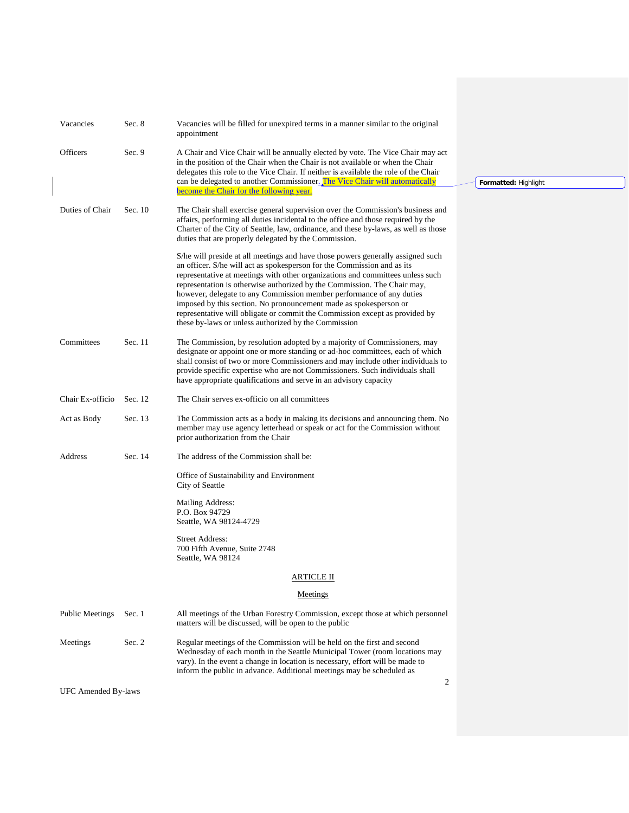| Vacancies                                    | Sec. 8   | Vacancies will be filled for unexpired terms in a manner similar to the original<br>appointment                                                                                                                                                                                                                                                                                                                                                                                                                                                                                                              |  |  |
|----------------------------------------------|----------|--------------------------------------------------------------------------------------------------------------------------------------------------------------------------------------------------------------------------------------------------------------------------------------------------------------------------------------------------------------------------------------------------------------------------------------------------------------------------------------------------------------------------------------------------------------------------------------------------------------|--|--|
| Officers                                     | Sec. $9$ | A Chair and Vice Chair will be annually elected by vote. The Vice Chair may act<br>in the position of the Chair when the Chair is not available or when the Chair<br>delegates this role to the Vice Chair. If neither is available the role of the Chair<br>can be delegated to another Commissioner. The Vice Chair will automatically                                                                                                                                                                                                                                                                     |  |  |
|                                              |          | become the Chair for the following year.                                                                                                                                                                                                                                                                                                                                                                                                                                                                                                                                                                     |  |  |
| Duties of Chair                              | Sec. 10  | The Chair shall exercise general supervision over the Commission's business and<br>affairs, performing all duties incidental to the office and those required by the<br>Charter of the City of Seattle, law, ordinance, and these by-laws, as well as those<br>duties that are properly delegated by the Commission.                                                                                                                                                                                                                                                                                         |  |  |
|                                              |          | S/he will preside at all meetings and have those powers generally assigned such<br>an officer. S/he will act as spokesperson for the Commission and as its<br>representative at meetings with other organizations and committees unless such<br>representation is otherwise authorized by the Commission. The Chair may,<br>however, delegate to any Commission member performance of any duties<br>imposed by this section. No pronouncement made as spokesperson or<br>representative will obligate or commit the Commission except as provided by<br>these by-laws or unless authorized by the Commission |  |  |
| Committees                                   | Sec. 11  | The Commission, by resolution adopted by a majority of Commissioners, may<br>designate or appoint one or more standing or ad-hoc committees, each of which<br>shall consist of two or more Commissioners and may include other individuals to<br>provide specific expertise who are not Commissioners. Such individuals shall<br>have appropriate qualifications and serve in an advisory capacity                                                                                                                                                                                                           |  |  |
| Chair Ex-officio                             | Sec. 12  | The Chair serves ex-officio on all committees                                                                                                                                                                                                                                                                                                                                                                                                                                                                                                                                                                |  |  |
| Act as Body                                  | Sec. 13  | The Commission acts as a body in making its decisions and announcing them. No<br>member may use agency letterhead or speak or act for the Commission without<br>prior authorization from the Chair                                                                                                                                                                                                                                                                                                                                                                                                           |  |  |
| Address                                      | Sec. 14  | The address of the Commission shall be:                                                                                                                                                                                                                                                                                                                                                                                                                                                                                                                                                                      |  |  |
|                                              |          | Office of Sustainability and Environment<br>City of Seattle                                                                                                                                                                                                                                                                                                                                                                                                                                                                                                                                                  |  |  |
|                                              |          | Mailing Address:<br>P.O. Box 94729<br>Seattle, WA 98124-4729                                                                                                                                                                                                                                                                                                                                                                                                                                                                                                                                                 |  |  |
|                                              |          | Street Address:<br>700 Fifth Avenue, Suite 2748<br>Seattle, WA 98124                                                                                                                                                                                                                                                                                                                                                                                                                                                                                                                                         |  |  |
|                                              |          | ARTICLE II                                                                                                                                                                                                                                                                                                                                                                                                                                                                                                                                                                                                   |  |  |
|                                              |          | Meetings                                                                                                                                                                                                                                                                                                                                                                                                                                                                                                                                                                                                     |  |  |
| <b>Public Meetings</b>                       | Sec. 1   | All meetings of the Urban Forestry Commission, except those at which personnel<br>matters will be discussed, will be open to the public                                                                                                                                                                                                                                                                                                                                                                                                                                                                      |  |  |
| Meetings                                     | Sec. $2$ | Regular meetings of the Commission will be held on the first and second<br>Wednesday of each month in the Seattle Municipal Tower (room locations may<br>vary). In the event a change in location is necessary, effort will be made to<br>inform the public in advance. Additional meetings may be scheduled as                                                                                                                                                                                                                                                                                              |  |  |
| $\overline{c}$<br><b>UFC</b> Amended By-laws |          |                                                                                                                                                                                                                                                                                                                                                                                                                                                                                                                                                                                                              |  |  |

**Formatted:** Highlight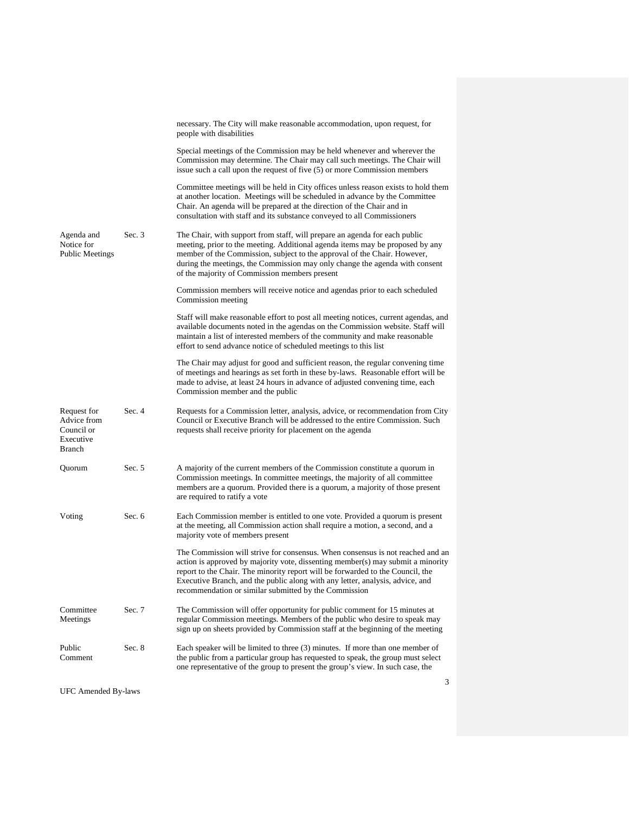|                                                                        |          | necessary. The City will make reasonable accommodation, upon request, for<br>people with disabilities                                                                                                                                                                                                                                                                                         |
|------------------------------------------------------------------------|----------|-----------------------------------------------------------------------------------------------------------------------------------------------------------------------------------------------------------------------------------------------------------------------------------------------------------------------------------------------------------------------------------------------|
|                                                                        |          | Special meetings of the Commission may be held whenever and wherever the<br>Commission may determine. The Chair may call such meetings. The Chair will<br>issue such a call upon the request of five (5) or more Commission members                                                                                                                                                           |
|                                                                        |          | Committee meetings will be held in City offices unless reason exists to hold them<br>at another location. Meetings will be scheduled in advance by the Committee<br>Chair. An agenda will be prepared at the direction of the Chair and in<br>consultation with staff and its substance conveyed to all Commissioners                                                                         |
| Agenda and<br>Notice for<br><b>Public Meetings</b>                     | Sec. $3$ | The Chair, with support from staff, will prepare an agenda for each public<br>meeting, prior to the meeting. Additional agenda items may be proposed by any<br>member of the Commission, subject to the approval of the Chair. However,<br>during the meetings, the Commission may only change the agenda with consent<br>of the majority of Commission members present                       |
|                                                                        |          | Commission members will receive notice and agendas prior to each scheduled<br>Commission meeting                                                                                                                                                                                                                                                                                              |
|                                                                        |          | Staff will make reasonable effort to post all meeting notices, current agendas, and<br>available documents noted in the agendas on the Commission website. Staff will<br>maintain a list of interested members of the community and make reasonable<br>effort to send advance notice of scheduled meetings to this list                                                                       |
|                                                                        |          | The Chair may adjust for good and sufficient reason, the regular convening time<br>of meetings and hearings as set forth in these by-laws. Reasonable effort will be<br>made to advise, at least 24 hours in advance of adjusted convening time, each<br>Commission member and the public                                                                                                     |
| Request for<br>Advice from<br>Council or<br>Executive<br><b>Branch</b> | Sec. 4   | Requests for a Commission letter, analysis, advice, or recommendation from City<br>Council or Executive Branch will be addressed to the entire Commission. Such<br>requests shall receive priority for placement on the agenda                                                                                                                                                                |
| Quorum                                                                 | Sec. 5   | A majority of the current members of the Commission constitute a quorum in<br>Commission meetings. In committee meetings, the majority of all committee<br>members are a quorum. Provided there is a quorum, a majority of those present<br>are required to ratify a vote                                                                                                                     |
| Voting                                                                 | Sec. 6   | Each Commission member is entitled to one vote. Provided a quorum is present<br>at the meeting, all Commission action shall require a motion, a second, and a<br>majority vote of members present                                                                                                                                                                                             |
|                                                                        |          | The Commission will strive for consensus. When consensus is not reached and an<br>action is approved by majority vote, dissenting member(s) may submit a minority<br>report to the Chair. The minority report will be forwarded to the Council, the<br>Executive Branch, and the public along with any letter, analysis, advice, and<br>recommendation or similar submitted by the Commission |
| Committee<br>Meetings                                                  | Sec. 7   | The Commission will offer opportunity for public comment for 15 minutes at<br>regular Commission meetings. Members of the public who desire to speak may<br>sign up on sheets provided by Commission staff at the beginning of the meeting                                                                                                                                                    |
| Public<br>Comment                                                      | Sec. 8   | Each speaker will be limited to three (3) minutes. If more than one member of<br>the public from a particular group has requested to speak, the group must select<br>one representative of the group to present the group's view. In such case, the                                                                                                                                           |
|                                                                        |          | 3                                                                                                                                                                                                                                                                                                                                                                                             |

UFC Amended By-laws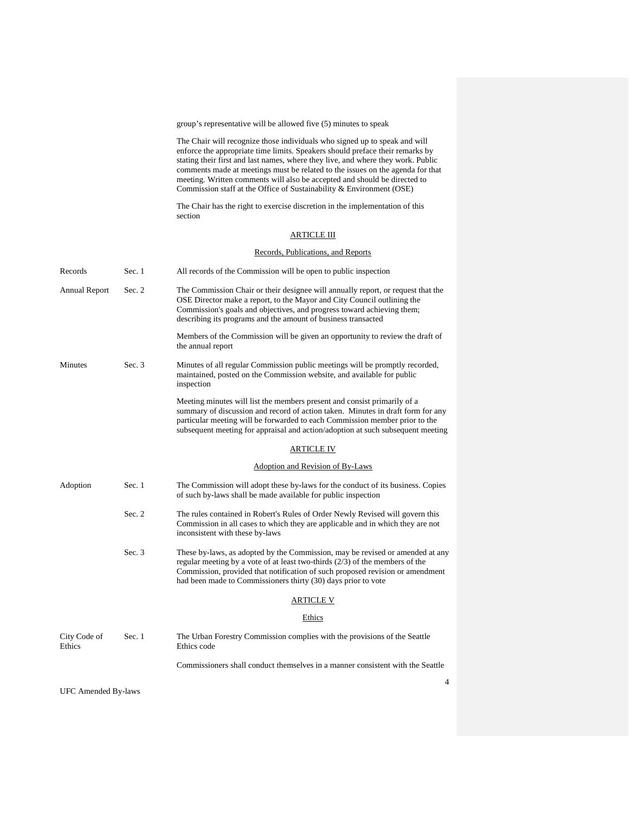group's representative will be allowed five (5) minutes to speak

The Chair will recognize those individuals who signed up to speak and will enforce the appropriate time limits. Speakers should preface their remarks by stating their first and last names, where they live, and where they work. Public comments made at meetings must be related to the issues on the agenda for that meeting. Written comments will also be accepted and should be directed to Commission staff at the Office of Sustainability & Environment (OSE)

The Chair has the right to exercise discretion in the implementation of this section

### ARTICLE III

#### Records, Publications, and Reports

| Records                    | Sec. 1   | All records of the Commission will be open to public inspection                                                                                                                                                                                                                                                               |
|----------------------------|----------|-------------------------------------------------------------------------------------------------------------------------------------------------------------------------------------------------------------------------------------------------------------------------------------------------------------------------------|
| <b>Annual Report</b>       | Sec. $2$ | The Commission Chair or their designee will annually report, or request that the<br>OSE Director make a report, to the Mayor and City Council outlining the<br>Commission's goals and objectives, and progress toward achieving them;<br>describing its programs and the amount of business transacted                        |
|                            |          | Members of the Commission will be given an opportunity to review the draft of<br>the annual report                                                                                                                                                                                                                            |
| Minutes                    | Sec. $3$ | Minutes of all regular Commission public meetings will be promptly recorded,<br>maintained, posted on the Commission website, and available for public<br>inspection                                                                                                                                                          |
|                            |          | Meeting minutes will list the members present and consist primarily of a<br>summary of discussion and record of action taken. Minutes in draft form for any<br>particular meeting will be forwarded to each Commission member prior to the<br>subsequent meeting for appraisal and action/adoption at such subsequent meeting |
|                            |          | <b>ARTICLE IV</b>                                                                                                                                                                                                                                                                                                             |
|                            |          | <b>Adoption and Revision of By-Laws</b>                                                                                                                                                                                                                                                                                       |
| Adoption                   | Sec. 1   | The Commission will adopt these by-laws for the conduct of its business. Copies<br>of such by-laws shall be made available for public inspection                                                                                                                                                                              |
|                            | Sec. 2   | The rules contained in Robert's Rules of Order Newly Revised will govern this<br>Commission in all cases to which they are applicable and in which they are not<br>inconsistent with these by-laws                                                                                                                            |
|                            | Sec. $3$ | These by-laws, as adopted by the Commission, may be revised or amended at any<br>regular meeting by a vote of at least two-thirds $(2/3)$ of the members of the<br>Commission, provided that notification of such proposed revision or amendment<br>had been made to Commissioners thirty (30) days prior to vote             |
|                            |          | <u>ARTICLE V</u>                                                                                                                                                                                                                                                                                                              |
|                            |          | Ethics                                                                                                                                                                                                                                                                                                                        |
| City Code of<br>Ethics     | Sec. 1   | The Urban Forestry Commission complies with the provisions of the Seattle<br>Ethics code                                                                                                                                                                                                                                      |
|                            |          | Commissioners shall conduct themselves in a manner consistent with the Seattle                                                                                                                                                                                                                                                |
| <b>UFC</b> Amended By-laws |          | 4                                                                                                                                                                                                                                                                                                                             |